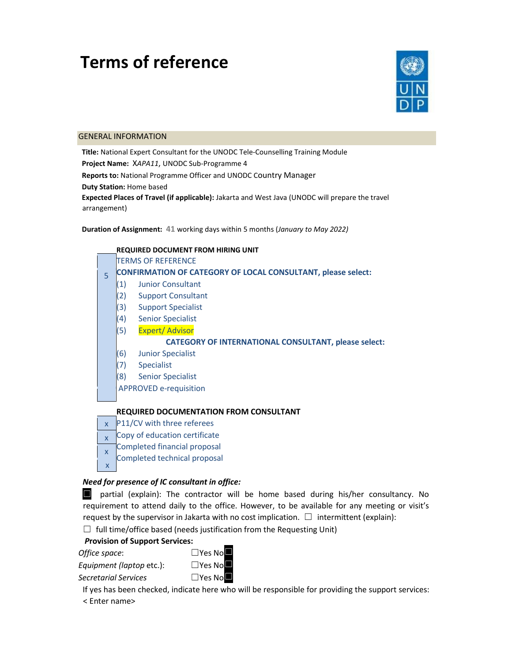# **Terms of reference**



#### GENERAL INFORMATION

**Title:** National Expert Consultant for the UNODC Tele‐Counselling Training Module **Project Name:** X*APA11*, UNODC Sub‐Programme 4 **Reports to:** National Programme Officer and UNODC Country Manager **Duty Station:** Home based **Expected Places of Travel (if applicable):** Jakarta and West Java (UNODC will prepare the travel arrangement)

**Duration of Assignment: 41** working days within 5 months (*January to May 2022)*

|   | <b>REQUIRED DOCUMENT FROM HIRING UNIT</b>                           |  |  |  |
|---|---------------------------------------------------------------------|--|--|--|
|   | <b>TERMS OF REFERENCE</b>                                           |  |  |  |
| 5 | <b>CONFIRMATION OF CATEGORY OF LOCAL CONSULTANT, please select:</b> |  |  |  |
|   | <b>Junior Consultant</b><br>(1)                                     |  |  |  |
|   | (2)<br><b>Support Consultant</b>                                    |  |  |  |
|   | (3)<br><b>Support Specialist</b>                                    |  |  |  |
|   | (4)<br><b>Senior Specialist</b>                                     |  |  |  |
|   | (5)<br>Expert/Advisor                                               |  |  |  |
|   | <b>CATEGORY OF INTERNATIONAL CONSULTANT, please select:</b>         |  |  |  |
|   | (6)<br><b>Junior Specialist</b>                                     |  |  |  |
|   | (7)<br><b>Specialist</b>                                            |  |  |  |
|   | (8)<br><b>Senior Specialist</b>                                     |  |  |  |
|   | <b>APPROVED e-requisition</b>                                       |  |  |  |
|   |                                                                     |  |  |  |
|   | <b>REQUIRED DOCUMENTATION FROM CONSULTANT</b>                       |  |  |  |

# **REQUIRED DOCUMENTATION FROM CONSULTANT**

- $x$  P11/CV with three referees
- Copy of education certificate x
- Completed financial proposal x
- Completed technical proposal x

#### *Need for presence of IC consultant in office:*

■ partial (explain): The contractor will be home based during his/her consultancy. No requirement to attend daily to the office. However, to be available for any meeting or visit's request by the supervisor in Jakarta with no cost implication.  $\Box$  intermittent (explain):

 $\Box$  full time/office based (needs justification from the Requesting Unit)

#### *P***rovision of Support Services:**

*Office space:* 



*Equipment (laptop etc.)*: □Yes No **Secretarial Services** 

□Yes No■

If yes has been checked, indicate here who will be responsible for providing the support services:

< Enter name>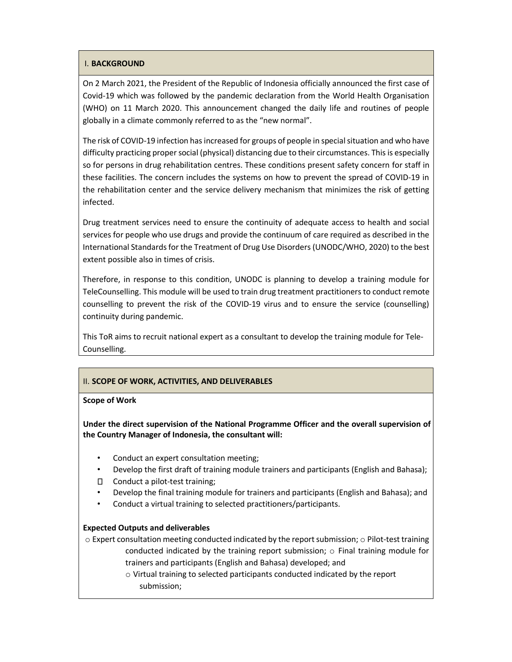## I. **BACKGROUND**

On 2 March 2021, the President of the Republic of Indonesia officially announced the first case of Covid‐19 which was followed by the pandemic declaration from the World Health Organisation (WHO) on 11 March 2020. This announcement changed the daily life and routines of people globally in a climate commonly referred to as the "new normal".

The risk of COVID‐19 infection has increased for groups of people in special situation and who have difficulty practicing proper social (physical) distancing due to their circumstances. This is especially so for persons in drug rehabilitation centres. These conditions present safety concern for staff in these facilities. The concern includes the systems on how to prevent the spread of COVID‐19 in the rehabilitation center and the service delivery mechanism that minimizes the risk of getting infected.

Drug treatment services need to ensure the continuity of adequate access to health and social services for people who use drugs and provide the continuum of care required as described in the International Standards for the Treatment of Drug Use Disorders (UNODC/WHO, 2020) to the best extent possible also in times of crisis.

Therefore, in response to this condition, UNODC is planning to develop a training module for TeleCounselling. This module will be used to train drug treatment practitioners to conduct remote counselling to prevent the risk of the COVID‐19 virus and to ensure the service (counselling) continuity during pandemic.

This ToR aims to recruit national expert as a consultant to develop the training module for Tele‐ Counselling.

# II. **SCOPE OF WORK, ACTIVITIES, AND DELIVERABLES**

#### **Scope of Work**

**Under the direct supervision of the National Programme Officer and the overall supervision of the Country Manager of Indonesia, the consultant will:** 

- Conduct an expert consultation meeting;
- Develop the first draft of training module trainers and participants (English and Bahasa);
- □ Conduct a pilot-test training;
- Develop the final training module for trainers and participants (English and Bahasa); and
- Conduct a virtual training to selected practitioners/participants.

#### **Expected Outputs and deliverables**

o Expert consultation meeting conducted indicated by the report submission; o Pilot‐test training conducted indicated by the training report submission; o Final training module for trainers and participants (English and Bahasa) developed; and

> o Virtual training to selected participants conducted indicated by the report submission;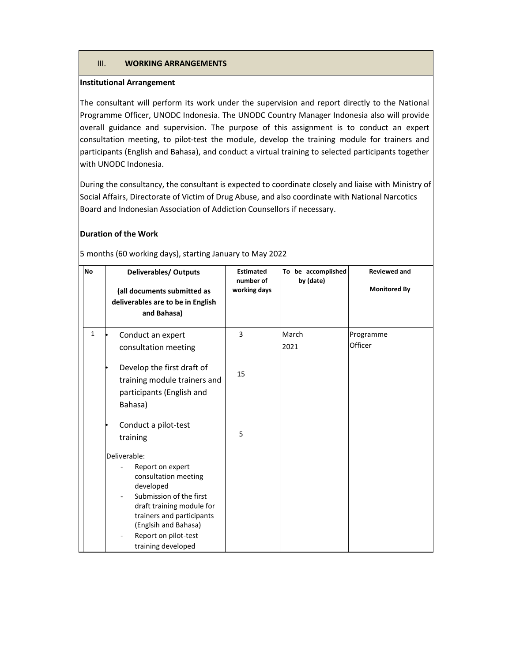#### III. **WORKING ARRANGEMENTS**

#### **Institutional Arrangement**

The consultant will perform its work under the supervision and report directly to the National Programme Officer, UNODC Indonesia. The UNODC Country Manager Indonesia also will provide overall guidance and supervision. The purpose of this assignment is to conduct an expert consultation meeting, to pilot-test the module, develop the training module for trainers and participants (English and Bahasa), and conduct a virtual training to selected participants together with UNODC Indonesia.

During the consultancy, the consultant is expected to coordinate closely and liaise with Ministry of Social Affairs, Directorate of Victim of Drug Abuse, and also coordinate with National Narcotics Board and Indonesian Association of Addiction Counsellors if necessary.

## **Duration of the Work**

| <b>No</b>    | <b>Deliverables/ Outputs</b><br>(all documents submitted as<br>deliverables are to be in English<br>and Bahasa)                                                                                                                  | <b>Estimated</b><br>number of<br>working days | To be accomplished<br>by (date) | <b>Reviewed and</b><br><b>Monitored By</b> |
|--------------|----------------------------------------------------------------------------------------------------------------------------------------------------------------------------------------------------------------------------------|-----------------------------------------------|---------------------------------|--------------------------------------------|
| $\mathbf{1}$ | Conduct an expert<br>consultation meeting                                                                                                                                                                                        | 3                                             | March<br>2021                   | Programme<br>Officer                       |
|              | Develop the first draft of<br>training module trainers and<br>participants (English and<br>Bahasa)                                                                                                                               | 15                                            |                                 |                                            |
|              | Conduct a pilot-test<br>training                                                                                                                                                                                                 | 5                                             |                                 |                                            |
|              | Deliverable:<br>Report on expert<br>consultation meeting<br>developed<br>Submission of the first<br>draft training module for<br>trainers and participants<br>(Englsih and Bahasa)<br>Report on pilot-test<br>training developed |                                               |                                 |                                            |

5 months (60 working days), starting January to May 2022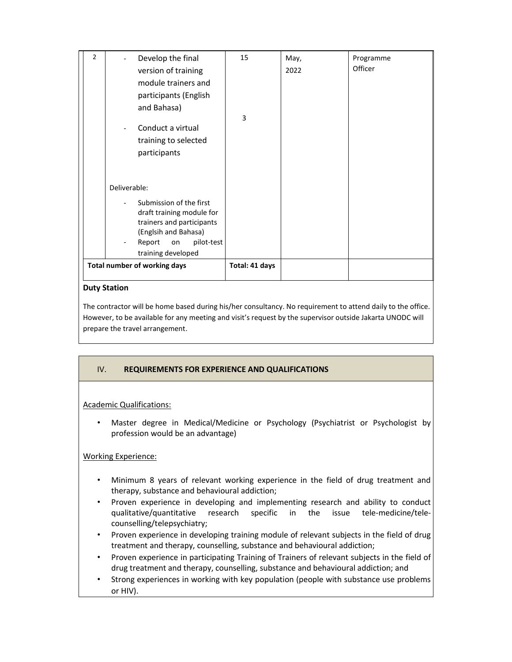|                | training developed<br><b>Total number of working days</b> |    |      |           |
|----------------|-----------------------------------------------------------|----|------|-----------|
|                | (Englsih and Bahasa)<br>pilot-test<br>Report<br>on        |    |      |           |
|                | trainers and participants                                 |    |      |           |
|                | Submission of the first<br>draft training module for      |    |      |           |
|                | Deliverable:                                              |    |      |           |
|                |                                                           |    |      |           |
|                | participants                                              |    |      |           |
|                | training to selected                                      |    |      |           |
|                | Conduct a virtual                                         |    |      |           |
|                | and Bahasa)                                               | 3  |      |           |
|                | participants (English                                     |    |      |           |
|                | module trainers and                                       |    |      |           |
|                | version of training                                       |    | 2022 | Officer   |
| $\overline{2}$ | Develop the final                                         | 15 | May, | Programme |

# **Duty Station**

The contractor will be home based during his/her consultancy. No requirement to attend daily to the office. However, to be available for any meeting and visit's request by the supervisor outside Jakarta UNODC will prepare the travel arrangement.

# IV. **REQUIREMENTS FOR EXPERIENCE AND QUALIFICATIONS**

# Academic Qualifications:

• Master degree in Medical/Medicine or Psychology (Psychiatrist or Psychologist by profession would be an advantage)

# Working Experience:

- Minimum 8 years of relevant working experience in the field of drug treatment and therapy, substance and behavioural addiction;
- Proven experience in developing and implementing research and ability to conduct qualitative/quantitative research specific in the issue tele-medicine/telecounselling/telepsychiatry;
- Proven experience in developing training module of relevant subjects in the field of drug treatment and therapy, counselling, substance and behavioural addiction;
- Proven experience in participating Training of Trainers of relevant subjects in the field of drug treatment and therapy, counselling, substance and behavioural addiction; and
- Strong experiences in working with key population (people with substance use problems or HIV).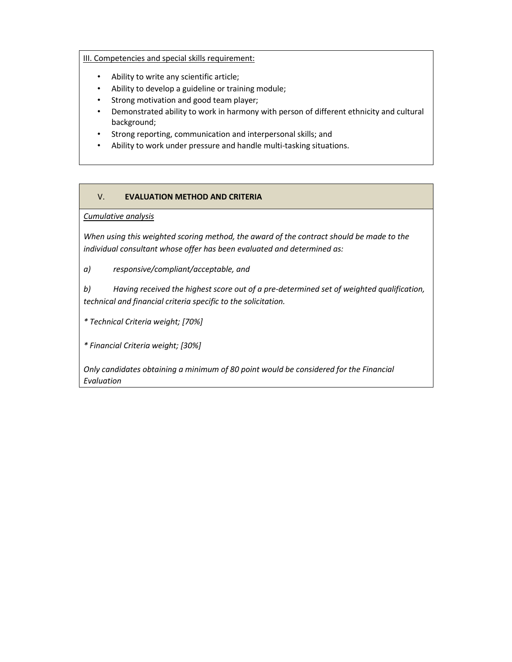# III. Competencies and special skills requirement:

- Ability to write any scientific article;
- Ability to develop a guideline or training module;
- Strong motivation and good team player;
- Demonstrated ability to work in harmony with person of different ethnicity and cultural background;
- Strong reporting, communication and interpersonal skills; and
- Ability to work under pressure and handle multi-tasking situations.

# V. **EVALUATION METHOD AND CRITERIA**

*Cumulative analysis* 

*When using this weighted scoring method, the award of the contract should be made to the individual consultant whose offer has been evaluated and determined as:* 

*a) responsive/compliant/acceptable, and* 

*b) Having received the highest score out of a pre‐determined set of weighted qualification, technical and financial criteria specific to the solicitation.* 

*\* Technical Criteria weight; [70%]* 

*\* Financial Criteria weight; [30%]* 

*Only candidates obtaining a minimum of 80 point would be considered for the Financial Evaluation*